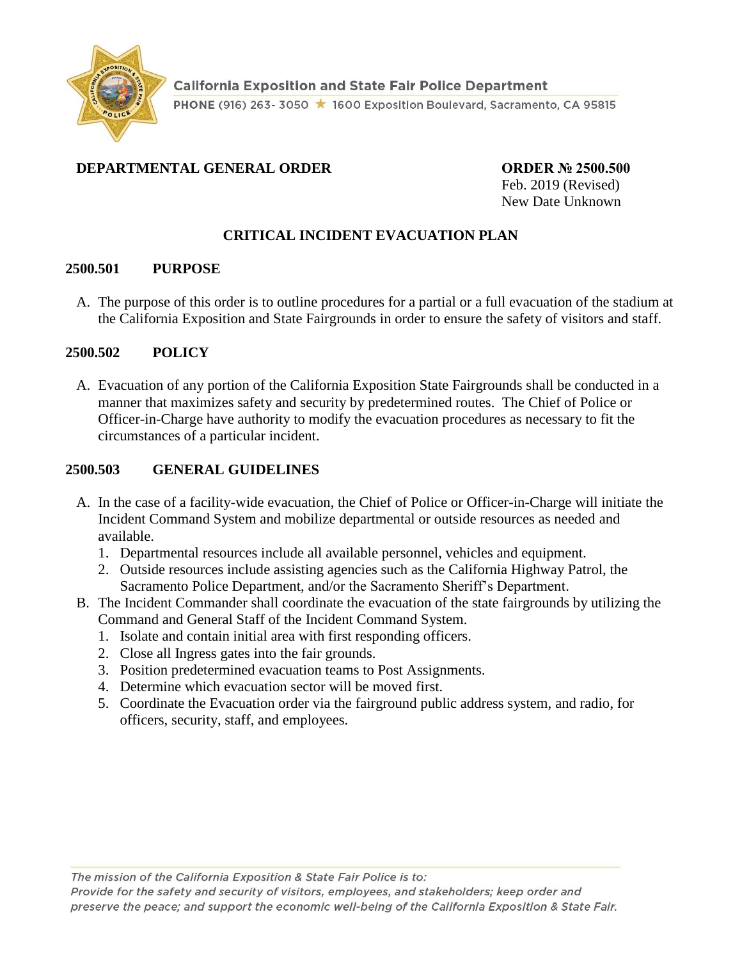

## **DEPARTMENTAL GENERAL ORDER ORDER № 2500.500**

Feb. 2019 (Revised) New Date Unknown

## **CRITICAL INCIDENT EVACUATION PLAN**

### **2500.501 PURPOSE**

A. The purpose of this order is to outline procedures for a partial or a full evacuation of the stadium at the California Exposition and State Fairgrounds in order to ensure the safety of visitors and staff.

### **2500.502 POLICY**

A. Evacuation of any portion of the California Exposition State Fairgrounds shall be conducted in a manner that maximizes safety and security by predetermined routes. The Chief of Police or Officer-in-Charge have authority to modify the evacuation procedures as necessary to fit the circumstances of a particular incident.

### **2500.503 GENERAL GUIDELINES**

- A. In the case of a facility-wide evacuation, the Chief of Police or Officer-in-Charge will initiate the Incident Command System and mobilize departmental or outside resources as needed and available.
	- 1. Departmental resources include all available personnel, vehicles and equipment.
	- 2. Outside resources include assisting agencies such as the California Highway Patrol, the Sacramento Police Department, and/or the Sacramento Sheriff's Department.
- B. The Incident Commander shall coordinate the evacuation of the state fairgrounds by utilizing the Command and General Staff of the Incident Command System.
	- 1. Isolate and contain initial area with first responding officers.
	- 2. Close all Ingress gates into the fair grounds.
	- 3. Position predetermined evacuation teams to Post Assignments.
	- 4. Determine which evacuation sector will be moved first.
	- 5. Coordinate the Evacuation order via the fairground public address system, and radio, for officers, security, staff, and employees.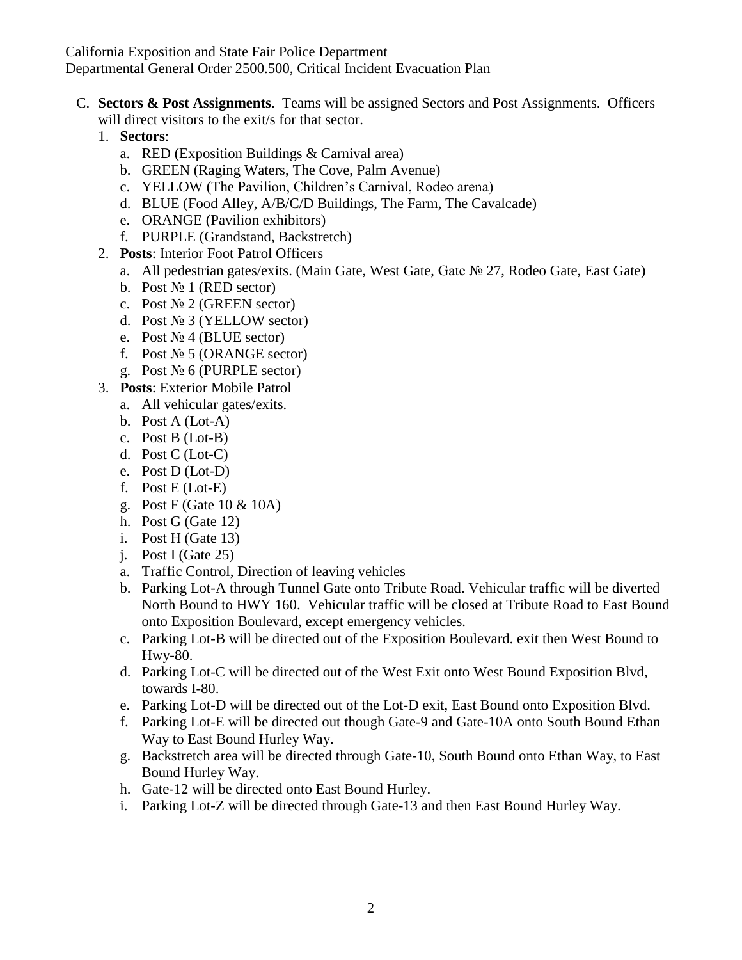California Exposition and State Fair Police Department Departmental General Order 2500.500, Critical Incident Evacuation Plan

- C. **Sectors & Post Assignments**. Teams will be assigned Sectors and Post Assignments. Officers will direct visitors to the exit/s for that sector.
	- 1. **Sectors**:
		- a. RED (Exposition Buildings & Carnival area)
		- b. GREEN (Raging Waters, The Cove, Palm Avenue)
		- c. YELLOW (The Pavilion, Children's Carnival, Rodeo arena)
		- d. BLUE (Food Alley, A/B/C/D Buildings, The Farm, The Cavalcade)
		- e. ORANGE (Pavilion exhibitors)
		- f. PURPLE (Grandstand, Backstretch)
	- 2. **Posts**: Interior Foot Patrol Officers
		- a. All pedestrian gates/exits. (Main Gate, West Gate, Gate № 27, Rodeo Gate, East Gate)
		- b. Post  $\mathbb{N}$ <sup>0</sup> 1 (RED sector)
		- c. Post  $\mathbb{N}^{\circ}$  2 (GREEN sector)
		- d. Post № 3 (YELLOW sector)
		- e. Post  $\mathbb{N}$ <sup>o</sup> 4 (BLUE sector)
		- f. Post  $\mathcal{N}$ <sup>o</sup> 5 (ORANGE sector)
		- g. Post № 6 (PURPLE sector)
	- 3. **Posts**: Exterior Mobile Patrol
		- a. All vehicular gates/exits.
		- b. Post A (Lot-A)
		- c. Post B (Lot-B)
		- d. Post C (Lot-C)
		- e. Post D (Lot-D)
		- f. Post E (Lot-E)
		- g. Post F (Gate 10 & 10A)
		- h. Post G (Gate 12)
		- i. Post H (Gate 13)
		- j. Post I (Gate 25)
		- a. Traffic Control, Direction of leaving vehicles
		- b. Parking Lot-A through Tunnel Gate onto Tribute Road. Vehicular traffic will be diverted North Bound to HWY 160. Vehicular traffic will be closed at Tribute Road to East Bound onto Exposition Boulevard, except emergency vehicles.
		- c. Parking Lot-B will be directed out of the Exposition Boulevard. exit then West Bound to Hwy-80.
		- d. Parking Lot-C will be directed out of the West Exit onto West Bound Exposition Blvd, towards I-80.
		- e. Parking Lot-D will be directed out of the Lot-D exit, East Bound onto Exposition Blvd.
		- f. Parking Lot-E will be directed out though Gate-9 and Gate-10A onto South Bound Ethan Way to East Bound Hurley Way.
		- g. Backstretch area will be directed through Gate-10, South Bound onto Ethan Way, to East Bound Hurley Way.
		- h. Gate-12 will be directed onto East Bound Hurley.
		- i. Parking Lot-Z will be directed through Gate-13 and then East Bound Hurley Way.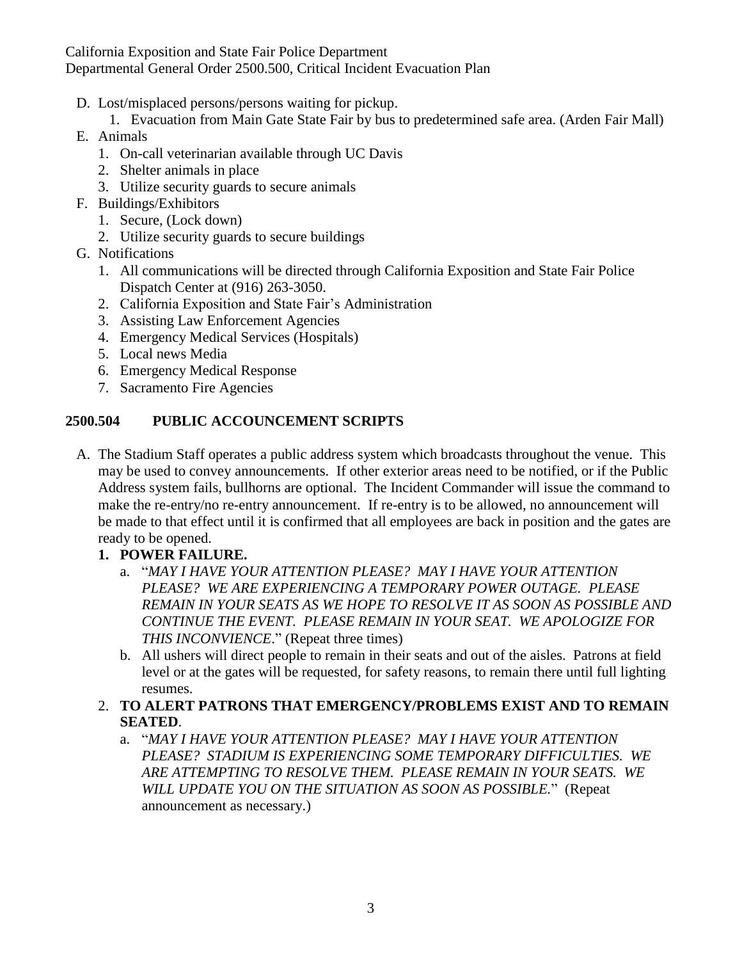California Exposition and State Fair Police Department Departmental General Order 2500.500, Critical Incident Evacuation Plan

- D. Lost/misplaced persons/persons waiting for pickup.
	- 1. Evacuation from Main Gate State Fair by bus to predetermined safe area. (Arden Fair Mall)
- E. Animals
	- 1. On-call veterinarian available through UC Davis
	- 2. Shelter animals in place
	- 3. Utilize security guards to secure animals
- F. Buildings/Exhibitors
	- 1. Secure, (Lock down)
	- 2. Utilize security guards to secure buildings
- G. Notifications
	- 1. All communications will be directed through California Exposition and State Fair Police Dispatch Center at (916) 263-3050.
	- 2. California Exposition and State Fair's Administration
	- 3. Assisting Law Enforcement Agencies
	- 4. Emergency Medical Services (Hospitals)
	- 5. Local news Media
	- 6. Emergency Medical Response
	- 7. Sacramento Fire Agencies

### **2500.504 PUBLIC ACCOUNCEMENT SCRIPTS**

- A. The Stadium Staff operates a public address system which broadcasts throughout the venue. This may be used to convey announcements. If other exterior areas need to be notified, or if the Public Address system fails, bullhorns are optional. The Incident Commander will issue the command to make the re-entry/no re-entry announcement. If re-entry is to be allowed, no announcement will be made to that effect until it is confirmed that all employees are back in position and the gates are ready to be opened.
	- **1. POWER FAILURE.**
		- a. "*MAY I HAVE YOUR ATTENTION PLEASE? MAY I HAVE YOUR ATTENTION PLEASE? WE ARE EXPERIENCING A TEMPORARY POWER OUTAGE. PLEASE REMAIN IN YOUR SEATS AS WE HOPE TO RESOLVE IT AS SOON AS POSSIBLE AND CONTINUE THE EVENT. PLEASE REMAIN IN YOUR SEAT. WE APOLOGIZE FOR THIS INCONVIENCE*." (Repeat three times)
		- b. All ushers will direct people to remain in their seats and out of the aisles. Patrons at field level or at the gates will be requested, for safety reasons, to remain there until full lighting resumes.
	- 2. **TO ALERT PATRONS THAT EMERGENCY/PROBLEMS EXIST AND TO REMAIN SEATED**.
		- a. "*MAY I HAVE YOUR ATTENTION PLEASE? MAY I HAVE YOUR ATTENTION PLEASE? STADIUM IS EXPERIENCING SOME TEMPORARY DIFFICULTIES. WE ARE ATTEMPTING TO RESOLVE THEM. PLEASE REMAIN IN YOUR SEATS. WE WILL UPDATE YOU ON THE SITUATION AS SOON AS POSSIBLE.*" (Repeat announcement as necessary.)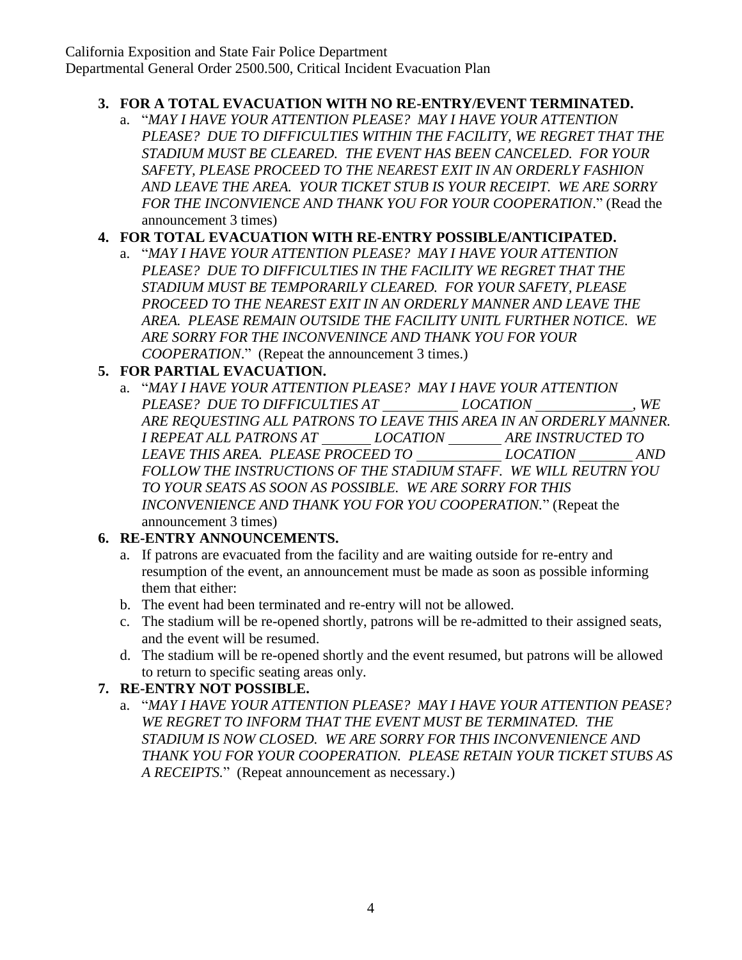## **3. FOR A TOTAL EVACUATION WITH NO RE-ENTRY/EVENT TERMINATED.**

a. "*MAY I HAVE YOUR ATTENTION PLEASE? MAY I HAVE YOUR ATTENTION PLEASE? DUE TO DIFFICULTIES WITHIN THE FACILITY, WE REGRET THAT THE STADIUM MUST BE CLEARED. THE EVENT HAS BEEN CANCELED. FOR YOUR SAFETY, PLEASE PROCEED TO THE NEAREST EXIT IN AN ORDERLY FASHION AND LEAVE THE AREA. YOUR TICKET STUB IS YOUR RECEIPT. WE ARE SORRY FOR THE INCONVIENCE AND THANK YOU FOR YOUR COOPERATION*." (Read the announcement 3 times)

## **4. FOR TOTAL EVACUATION WITH RE-ENTRY POSSIBLE/ANTICIPATED.**

a. "*MAY I HAVE YOUR ATTENTION PLEASE? MAY I HAVE YOUR ATTENTION PLEASE? DUE TO DIFFICULTIES IN THE FACILITY WE REGRET THAT THE STADIUM MUST BE TEMPORARILY CLEARED. FOR YOUR SAFETY, PLEASE PROCEED TO THE NEAREST EXIT IN AN ORDERLY MANNER AND LEAVE THE AREA. PLEASE REMAIN OUTSIDE THE FACILITY UNITL FURTHER NOTICE. WE ARE SORRY FOR THE INCONVENINCE AND THANK YOU FOR YOUR COOPERATION*." (Repeat the announcement 3 times.)

## **5. FOR PARTIAL EVACUATION.**

a. "*MAY I HAVE YOUR ATTENTION PLEASE? MAY I HAVE YOUR ATTENTION PLEASE? DUE TO DIFFICULTIES AT LOCATION , WE ARE REQUESTING ALL PATRONS TO LEAVE THIS AREA IN AN ORDERLY MANNER. I REPEAT ALL PATRONS AT LOCATION ARE INSTRUCTED TO LEAVE THIS AREA. PLEASE PROCEED TO LOCATION AND FOLLOW THE INSTRUCTIONS OF THE STADIUM STAFF. WE WILL REUTRN YOU TO YOUR SEATS AS SOON AS POSSIBLE. WE ARE SORRY FOR THIS INCONVENIENCE AND THANK YOU FOR YOU COOPERATION.*" (Repeat the announcement 3 times)

### **6. RE-ENTRY ANNOUNCEMENTS.**

- a. If patrons are evacuated from the facility and are waiting outside for re-entry and resumption of the event, an announcement must be made as soon as possible informing them that either:
- b. The event had been terminated and re-entry will not be allowed.
- c. The stadium will be re-opened shortly, patrons will be re-admitted to their assigned seats, and the event will be resumed.
- d. The stadium will be re-opened shortly and the event resumed, but patrons will be allowed to return to specific seating areas only.

# **7. RE-ENTRY NOT POSSIBLE.**

a. "*MAY I HAVE YOUR ATTENTION PLEASE? MAY I HAVE YOUR ATTENTION PEASE? WE REGRET TO INFORM THAT THE EVENT MUST BE TERMINATED. THE STADIUM IS NOW CLOSED. WE ARE SORRY FOR THIS INCONVENIENCE AND THANK YOU FOR YOUR COOPERATION. PLEASE RETAIN YOUR TICKET STUBS AS A RECEIPTS.*" (Repeat announcement as necessary.)